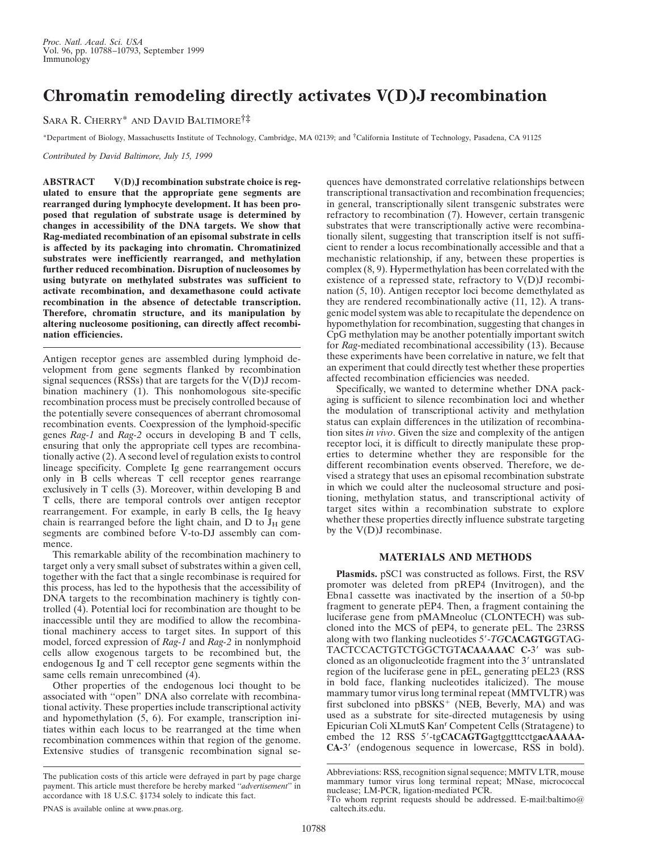## **Chromatin remodeling directly activates V(D)J recombination**

SARA R. CHERRY\* AND DAVID BALTIMORE†‡

\*Department of Biology, Massachusetts Institute of Technology, Cambridge, MA 02139; and †California Institute of Technology, Pasadena, CA 91125

*Contributed by David Baltimore, July 15, 1999*

**ABSTRACT V(D)J recombination substrate choice is regulated to ensure that the appropriate gene segments are rearranged during lymphocyte development. It has been proposed that regulation of substrate usage is determined by changes in accessibility of the DNA targets. We show that Rag-mediated recombination of an episomal substrate in cells is affected by its packaging into chromatin. Chromatinized substrates were inefficiently rearranged, and methylation further reduced recombination. Disruption of nucleosomes by using butyrate on methylated substrates was sufficient to activate recombination, and dexamethasone could activate recombination in the absence of detectable transcription. Therefore, chromatin structure, and its manipulation by altering nucleosome positioning, can directly affect recombination efficiencies.**

Antigen receptor genes are assembled during lymphoid development from gene segments flanked by recombination signal sequences (RSSs) that are targets for the V(D)J recombination machinery (1). This nonhomologous site-specific recombination process must be precisely controlled because of the potentially severe consequences of aberrant chromosomal recombination events. Coexpression of the lymphoid-specific genes *Rag-1* and *Rag-2* occurs in developing B and T cells, ensuring that only the appropriate cell types are recombinationally active (2). A second level of regulation exists to control lineage specificity. Complete Ig gene rearrangement occurs only in B cells whereas T cell receptor genes rearrange exclusively in T cells (3). Moreover, within developing B and T cells, there are temporal controls over antigen receptor rearrangement. For example, in early B cells, the Ig heavy chain is rearranged before the light chain, and  $D$  to  $J_H$  gene segments are combined before V-to-DJ assembly can commence.

This remarkable ability of the recombination machinery to target only a very small subset of substrates within a given cell, together with the fact that a single recombinase is required for this process, has led to the hypothesis that the accessibility of DNA targets to the recombination machinery is tightly controlled (4). Potential loci for recombination are thought to be inaccessible until they are modified to allow the recombinational machinery access to target sites. In support of this model, forced expression of *Rag-1* and *Rag-2* in nonlymphoid cells allow exogenous targets to be recombined but, the endogenous Ig and T cell receptor gene segments within the same cells remain unrecombined (4).

Other properties of the endogenous loci thought to be associated with ''open'' DNA also correlate with recombinational activity. These properties include transcriptional activity and hypomethylation (5, 6). For example, transcription initiates within each locus to be rearranged at the time when recombination commences within that region of the genome. Extensive studies of transgenic recombination signal sequences have demonstrated correlative relationships between transcriptional transactivation and recombination frequencies; in general, transcriptionally silent transgenic substrates were refractory to recombination (7). However, certain transgenic substrates that were transcriptionally active were recombinationally silent, suggesting that transcription itself is not sufficient to render a locus recombinationally accessible and that a mechanistic relationship, if any, between these properties is complex (8, 9). Hypermethylation has been correlated with the existence of a repressed state, refractory to V(D)J recombination (5, 10). Antigen receptor loci become demethylated as they are rendered recombinationally active (11, 12). A transgenic model system was able to recapitulate the dependence on hypomethylation for recombination, suggesting that changes in CpG methylation may be another potentially important switch for *Rag*-mediated recombinational accessibility (13). Because these experiments have been correlative in nature, we felt that an experiment that could directly test whether these properties affected recombination efficiencies was needed.

Specifically, we wanted to determine whether DNA packaging is sufficient to silence recombination loci and whether the modulation of transcriptional activity and methylation status can explain differences in the utilization of recombination sites *in vivo*. Given the size and complexity of the antigen receptor loci, it is difficult to directly manipulate these properties to determine whether they are responsible for the different recombination events observed. Therefore, we devised a strategy that uses an episomal recombination substrate in which we could alter the nucleosomal structure and positioning, methylation status, and transcriptional activity of target sites within a recombination substrate to explore whether these properties directly influence substrate targeting by the V(D)J recombinase.

## **MATERIALS AND METHODS**

**Plasmids.** pSC1 was constructed as follows. First, the RSV promoter was deleted from pREP4 (Invitrogen), and the Ebna1 cassette was inactivated by the insertion of a 50-bp fragment to generate pEP4. Then, a fragment containing the luciferase gene from pMAMneoluc (CLONTECH) was subcloned into the MCS of pEP4, to generate pEL. The 23RSS along with two flanking nucleotides 5'-TG**CACAGTG**GTAG-TACTCCACTGTCTGGCTGTACAAAAAC C-3' was subcloned as an oligonucleotide fragment into the 3' untranslated region of the luciferase gene in pEL, generating pEL23 (RSS in bold face, flanking nucleotides italicized). The mouse mammary tumor virus long terminal repeat (MMTVLTR) was first subcloned into  $pBSKS^+$  (NEB, Beverly, MA) and was used as a substrate for site-directed mutagenesis by using Epicurian Coli XLmutS Kan<sup>r</sup> Competent Cells (Stratagene) to embed the 12 RSS 5'-tgCACAGTGagtggtttcctgacAAAAA-**CA-3<sup>'</sup>** (endogenous sequence in lowercase, RSS in bold).

The publication costs of this article were defrayed in part by page charge payment. This article must therefore be hereby marked ''*advertisement*'' in accordance with 18 U.S.C. §1734 solely to indicate this fact.

Abbreviations: RSS, recognition signal sequence; MMTV LTR, mouse mammary tumor virus long terminal repeat; MNase, micrococcal nuclease; LM-PCR, ligation-mediated PCR.

<sup>‡</sup>To whom reprint requests should be addressed. E-mail:baltimo@ caltech.its.edu.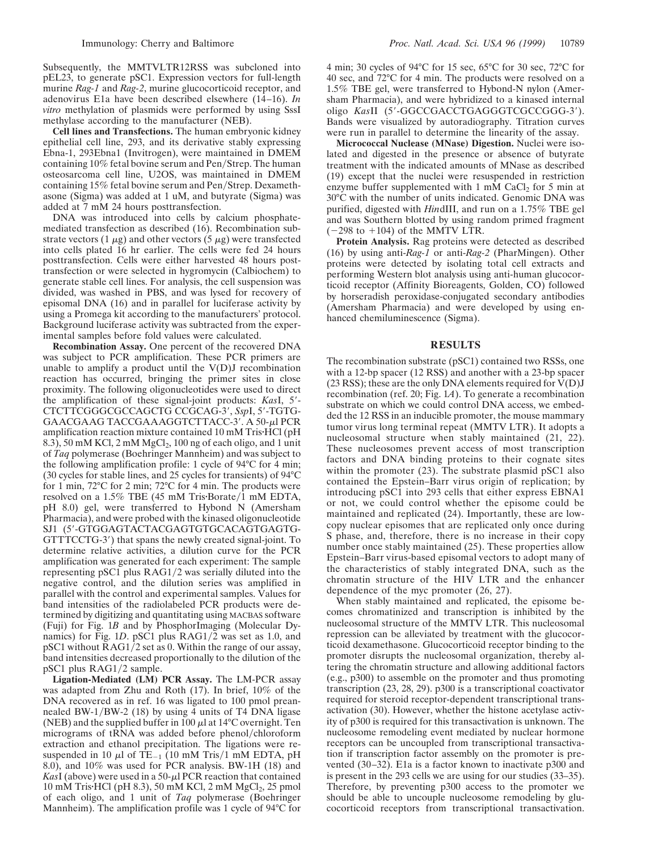Subsequently, the MMTVLTR12RSS was subcloned into pEL23, to generate pSC1. Expression vectors for full-length murine *Rag-1* and *Rag-2*, murine glucocorticoid receptor, and adenovirus E1a have been described elsewhere (14–16). *In vitro* methylation of plasmids were performed by using SssI methylase according to the manufacturer (NEB).

**Cell lines and Transfections.** The human embryonic kidney epithelial cell line, 293, and its derivative stably expressing Ebna-1, 293Ebna1 (Invitrogen), were maintained in DMEM containing 10% fetal bovine serum and Pen/Strep. The human osteosarcoma cell line, U2OS, was maintained in DMEM containing 15% fetal bovine serum and Pen/Strep. Dexamethasone (Sigma) was added at 1 uM, and butyrate (Sigma) was added at 7 mM 24 hours posttransfection.

DNA was introduced into cells by calcium phosphatemediated transfection as described (16). Recombination substrate vectors (1  $\mu$ g) and other vectors (5  $\mu$ g) were transfected into cells plated 16 hr earlier. The cells were fed 24 hours posttransfection. Cells were either harvested 48 hours posttransfection or were selected in hygromycin (Calbiochem) to generate stable cell lines. For analysis, the cell suspension was divided, was washed in PBS, and was lysed for recovery of episomal DNA (16) and in parallel for luciferase activity by using a Promega kit according to the manufacturers' protocol. Background luciferase activity was subtracted from the experimental samples before fold values were calculated.

**Recombination Assay.** One percent of the recovered DNA was subject to PCR amplification. These PCR primers are unable to amplify a product until the  $V(D)J$  recombination reaction has occurred, bringing the primer sites in close proximity. The following oligonucleotides were used to direct the amplification of these signal-joint products: *KasI*, 5'-CTCTTCGGGCGCCAGCTG CCGCAG-3', SspI, 5'-TGTG-GAACGAAG TACCGAAAGGTCTTACC-3'. A 50-µl PCR amplification reaction mixture contained 10 mM Tris HCl (pH) 8.3), 50 mM KCl, 2 mM MgCl<sub>2</sub>, 100 ng of each oligo, and 1 unit of *Taq* polymerase (Boehringer Mannheim) and was subject to the following amplification profile: 1 cycle of 94°C for 4 min; (30 cycles for stable lines, and 25 cycles for transients) of 94°C for 1 min, 72°C for 2 min; 72°C for 4 min. The products were resolved on a  $1.5\%$  TBE (45 mM Tris $\cdot$ Borate/1 mM EDTA, pH 8.0) gel, were transferred to Hybond N (Amersham Pharmacia), and were probed with the kinased oligonucleotide SJ1 (5'-GTGGAGTACTACGAGTGTGCACAGTGAGTG-GTTTCCTG-3') that spans the newly created signal-joint. To determine relative activities, a dilution curve for the PCR amplification was generated for each experiment: The sample representing pSC1 plus  $RAG1/2$  was serially diluted into the negative control, and the dilution series was amplified in parallel with the control and experimental samples. Values for band intensities of the radiolabeled PCR products were determined by digitizing and quantitating using MACBAS software (Fuji) for Fig. 1*B* and by PhosphorImaging (Molecular Dynamics) for Fig. 1D. pSC1 plus RAG1/2 was set as 1.0, and pSC1 without RAG1/2 set as 0. Within the range of our assay, band intensities decreased proportionally to the dilution of the pSC1 plus RAG1/2 sample.

**Ligation-Mediated (LM) PCR Assay.** The LM-PCR assay was adapted from Zhu and Roth (17). In brief, 10% of the DNA recovered as in ref. 16 was ligated to 100 pmol preannealed BW-1/BW-2 (18) by using 4 units of T4 DNA ligase (NEB) and the supplied buffer in 100  $\mu$ l at 14<sup>o</sup>C overnight. Ten micrograms of tRNA was added before phenol/chloroform extraction and ethanol precipitation. The ligations were resuspended in 10  $\mu$ l of TE<sub>-1</sub> (10 mM Tris/1 mM EDTA, pH 8.0), and 10% was used for PCR analysis. BW-1H (18) and *KasI* (above) were used in a 50- $\mu$ I PCR reaction that contained 10 mM Tris $\cdot$ HCl (pH 8.3), 50 mM KCl, 2 mM MgCl<sub>2</sub>, 25 pmol of each oligo, and 1 unit of *Taq* polymerase (Boehringer Mannheim). The amplification profile was 1 cycle of 94°C for

4 min; 30 cycles of 94°C for 15 sec, 65°C for 30 sec, 72°C for 40 sec, and 72°C for 4 min. The products were resolved on a 1.5% TBE gel, were transferred to Hybond-N nylon (Amersham Pharmacia), and were hybridized to a kinased internal oligo KasII (5'-GGCCGACCTGAGGGTCGCCGGG-3'). Bands were visualized by autoradiography. Titration curves were run in parallel to determine the linearity of the assay.

**Micrococcal Nuclease (MNase) Digestion.** Nuclei were isolated and digested in the presence or absence of butyrate treatment with the indicated amounts of MNase as described (19) except that the nuclei were resuspended in restriction enzyme buffer supplemented with 1 mM  $CaCl<sub>2</sub>$  for 5 min at 30°C with the number of units indicated. Genomic DNA was purified, digested with *Hin*dIII, and run on a 1.75% TBE gel and was Southern blotted by using random primed fragment  $(-298 \text{ to } +104)$  of the MMTV LTR.

**Protein Analysis.** Rag proteins were detected as described (16) by using anti-*Rag-1* or anti-*Rag-2* (PharMingen). Other proteins were detected by isolating total cell extracts and performing Western blot analysis using anti-human glucocorticoid receptor (Affinity Bioreagents, Golden, CO) followed by horseradish peroxidase-conjugated secondary antibodies (Amersham Pharmacia) and were developed by using enhanced chemiluminescence (Sigma).

## **RESULTS**

The recombination substrate (pSC1) contained two RSSs, one with a 12-bp spacer (12 RSS) and another with a 23-bp spacer (23 RSS); these are the only DNA elements required for  $V(D)J$ recombination (ref. 20; Fig. 1*A*). To generate a recombination substrate on which we could control DNA access, we embedded the 12 RSS in an inducible promoter, the mouse mammary tumor virus long terminal repeat (MMTV LTR). It adopts a nucleosomal structure when stably maintained (21, 22). These nucleosomes prevent access of most transcription factors and DNA binding proteins to their cognate sites within the promoter (23). The substrate plasmid pSC1 also contained the Epstein–Barr virus origin of replication; by introducing pSC1 into 293 cells that either express EBNA1 or not, we could control whether the episome could be maintained and replicated (24). Importantly, these are lowcopy nuclear episomes that are replicated only once during S phase, and, therefore, there is no increase in their copy number once stably maintained (25). These properties allow Epstein–Barr virus-based episomal vectors to adopt many of the characteristics of stably integrated DNA, such as the chromatin structure of the HIV LTR and the enhancer dependence of the myc promoter (26, 27).

When stably maintained and replicated, the episome becomes chromatinized and transcription is inhibited by the nucleosomal structure of the MMTV LTR. This nucleosomal repression can be alleviated by treatment with the glucocorticoid dexamethasone. Glucocorticoid receptor binding to the promoter disrupts the nucleosomal organization, thereby altering the chromatin structure and allowing additional factors (e.g., p300) to assemble on the promoter and thus promoting transcription (23, 28, 29). p300 is a transcriptional coactivator required for steroid receptor-dependent transcriptional transactivation (30). However, whether the histone acetylase activity of p300 is required for this transactivation is unknown. The nucleosome remodeling event mediated by nuclear hormone receptors can be uncoupled from transcriptional transactivation if transcription factor assembly on the promoter is prevented (30–32). E1a is a factor known to inactivate p300 and is present in the 293 cells we are using for our studies (33–35). Therefore, by preventing p300 access to the promoter we should be able to uncouple nucleosome remodeling by glucocorticoid receptors from transcriptional transactivation.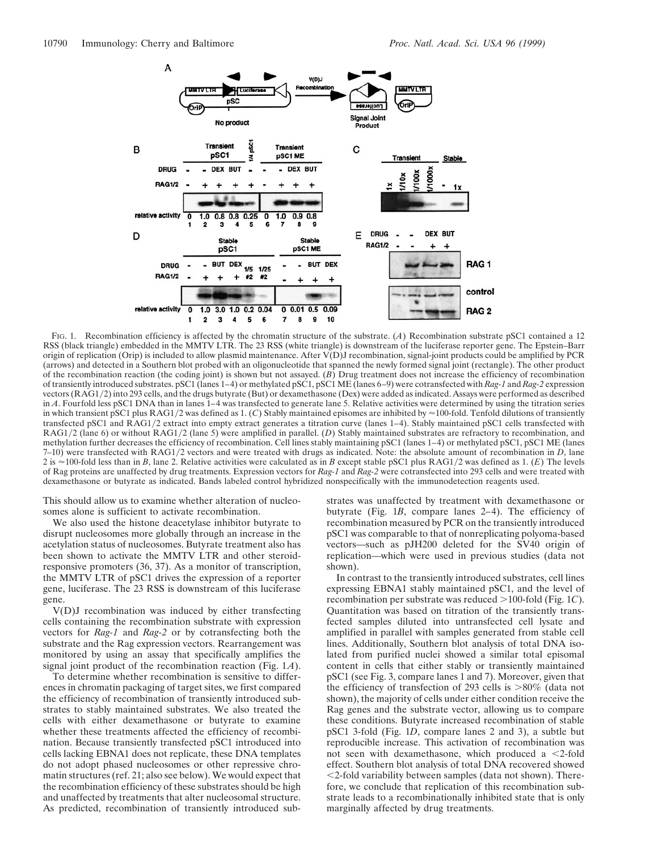

FIG. 1. Recombination efficiency is affected by the chromatin structure of the substrate. (*A*) Recombination substrate pSC1 contained a 12 RSS (black triangle) embedded in the MMTV LTR. The 23 RSS (white triangle) is downstream of the luciferase reporter gene. The Epstein–Barr origin of replication (Orip) is included to allow plasmid maintenance. After V(D)J recombination, signal-joint products could be amplified by PCR (arrows) and detected in a Southern blot probed with an oligonucleotide that spanned the newly formed signal joint (rectangle). The other product of the recombination reaction (the coding joint) is shown but not assayed. (*B*) Drug treatment does not increase the efficiency of recombination of transiently introduced substrates. pSC1 (lanes 1–4) or methylated pSC1, pSC1 ME (lanes 6–9) were cotransfected with *Rag-1* and *Rag-2* expression vectors (RAG1/2) into 293 cells, and the drugs butyrate (But) or dexamethasone (Dex) were added as indicated. Assays were performed as described in *A*. Fourfold less pSC1 DNA than in lanes 1–4 was transfected to generate lane 5. Relative activities were determined by using the titration series in which transient pSC1 plus RAG1/2 was defined as 1. (C) Stably maintained episomes are inhibited by  $\approx$ 100-fold. Tenfold dilutions of transiently transfected pSC1 and RAG1/2 extract into empty extract generates a titration curve (lanes 1-4). Stably maintained pSC1 cells transfected with RAG1/2 (lane 6) or without RAG1/2 (lane 5) were amplified in parallel. (*D*) Stably maintained substrates are refractory to recombination, and methylation further decreases the efficiency of recombination. Cell lines stably maintaining pSC1 (lanes 1–4) or methylated pSC1, pSC1 ME (lanes 7–10) were transfected with RAG1/2 vectors and were treated with drugs as indicated. Note: the absolute amount of recombination in *D*, lane 2 is  $\approx$  100-fold less than in *B*, lane 2. Relative activities were calculated as in *B* except stable pSC1 plus RAG1/2 was defined as 1. (*E*) The levels of Rag proteins are unaffected by drug treatments. Expression vectors for *Rag-1* and *Rag-2* were cotransfected into 293 cells and were treated with dexamethasone or butyrate as indicated. Bands labeled control hybridized nonspecifically with the immunodetection reagents used.

This should allow us to examine whether alteration of nucleosomes alone is sufficient to activate recombination.

We also used the histone deacetylase inhibitor butyrate to disrupt nucleosomes more globally through an increase in the acetylation status of nucleosomes. Butyrate treatment also has been shown to activate the MMTV LTR and other steroidresponsive promoters (36, 37). As a monitor of transcription, the MMTV LTR of pSC1 drives the expression of a reporter gene, luciferase. The 23 RSS is downstream of this luciferase gene.

V(D)J recombination was induced by either transfecting cells containing the recombination substrate with expression vectors for *Rag-1* and *Rag-2* or by cotransfecting both the substrate and the Rag expression vectors. Rearrangement was monitored by using an assay that specifically amplifies the signal joint product of the recombination reaction (Fig. 1*A*).

To determine whether recombination is sensitive to differences in chromatin packaging of target sites, we first compared the efficiency of recombination of transiently introduced substrates to stably maintained substrates. We also treated the cells with either dexamethasone or butyrate to examine whether these treatments affected the efficiency of recombination. Because transiently transfected pSC1 introduced into cells lacking EBNA1 does not replicate, these DNA templates do not adopt phased nucleosomes or other repressive chromatin structures (ref. 21; also see below). We would expect that the recombination efficiency of these substrates should be high and unaffected by treatments that alter nucleosomal structure. As predicted, recombination of transiently introduced substrates was unaffected by treatment with dexamethasone or butyrate (Fig. 1*B*, compare lanes 2–4). The efficiency of recombination measured by PCR on the transiently introduced pSC1 was comparable to that of nonreplicating polyoma-based vectors—such as pJH200 deleted for the SV40 origin of replication—which were used in previous studies (data not shown).

In contrast to the transiently introduced substrates, cell lines expressing EBNA1 stably maintained pSC1, and the level of recombination per substrate was reduced >100-fold (Fig. 1*C*). Quantitation was based on titration of the transiently transfected samples diluted into untransfected cell lysate and amplified in parallel with samples generated from stable cell lines. Additionally, Southern blot analysis of total DNA isolated from purified nuclei showed a similar total episomal content in cells that either stably or transiently maintained pSC1 (see Fig. 3, compare lanes 1 and 7). Moreover, given that the efficiency of transfection of 293 cells is  $>80\%$  (data not shown), the majority of cells under either condition receive the Rag genes and the substrate vector, allowing us to compare these conditions. Butyrate increased recombination of stable pSC1 3-fold (Fig. 1*D*, compare lanes 2 and 3), a subtle but reproducible increase. This activation of recombination was not seen with dexamethasone, which produced a  $\leq$ 2-fold effect. Southern blot analysis of total DNA recovered showed  $<$ 2-fold variability between samples (data not shown). Therefore, we conclude that replication of this recombination substrate leads to a recombinationally inhibited state that is only marginally affected by drug treatments.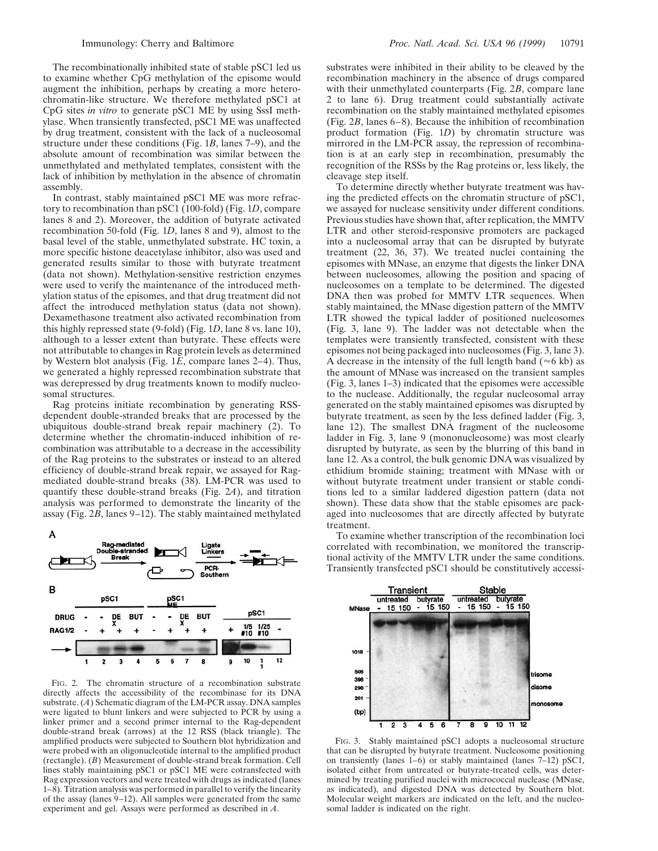The recombinationally inhibited state of stable pSC1 led us to examine whether CpG methylation of the episome would augment the inhibition, perhaps by creating a more heterochromatin-like structure. We therefore methylated pSC1 at CpG sites *in vitro* to generate pSC1 ME by using SssI methylase. When transiently transfected, pSC1 ME was unaffected by drug treatment, consistent with the lack of a nucleosomal structure under these conditions (Fig. 1*B*, lanes 7–9), and the absolute amount of recombination was similar between the unmethylated and methylated templates, consistent with the lack of inhibition by methylation in the absence of chromatin assembly.

In contrast, stably maintained pSC1 ME was more refractory to recombination than pSC1 (100-fold) (Fig. 1*D*, compare lanes 8 and 2). Moreover, the addition of butyrate activated recombination 50-fold (Fig. 1*D*, lanes 8 and 9), almost to the basal level of the stable, unmethylated substrate. HC toxin, a more specific histone deacetylase inhibitor, also was used and generated results similar to those with butyrate treatment (data not shown). Methylation-sensitive restriction enzymes were used to verify the maintenance of the introduced methylation status of the episomes, and that drug treatment did not affect the introduced methylation status (data not shown). Dexamethasone treatment also activated recombination from this highly repressed state (9-fold) (Fig. 1*D*, lane 8 vs. lane 10), although to a lesser extent than butyrate. These effects were not attributable to changes in Rag protein levels as determined by Western blot analysis (Fig. 1*E*, compare lanes 2–4). Thus, we generated a highly repressed recombination substrate that was derepressed by drug treatments known to modify nucleosomal structures.

Rag proteins initiate recombination by generating RSSdependent double-stranded breaks that are processed by the ubiquitous double-strand break repair machinery (2). To determine whether the chromatin-induced inhibition of recombination was attributable to a decrease in the accessibility of the Rag proteins to the substrates or instead to an altered efficiency of double-strand break repair, we assayed for Ragmediated double-strand breaks (38). LM-PCR was used to quantify these double-strand breaks (Fig. 2*A*), and titration analysis was performed to demonstrate the linearity of the assay (Fig. 2*B*, lanes 9–12). The stably maintained methylated



FIG. 2. The chromatin structure of a recombination substrate directly affects the accessibility of the recombinase for its DNA substrate. (*A*) Schematic diagram of the LM-PCR assay. DNA samples were ligated to blunt linkers and were subjected to PCR by using a linker primer and a second primer internal to the Rag-dependent double-strand break (arrows) at the 12 RSS (black triangle). The amplified products were subjected to Southern blot hybridization and were probed with an oligonucleotide internal to the amplified product (rectangle). (*B*) Measurement of double-strand break formation. Cell lines stably maintaining pSC1 or pSC1 ME were cotransfected with Rag expression vectors and were treated with drugs as indicated (lanes 1–8). Titration analysis was performed in parallel to verify the linearity of the assay (lanes 9–12). All samples were generated from the same experiment and gel. Assays were performed as described in *A*.

substrates were inhibited in their ability to be cleaved by the recombination machinery in the absence of drugs compared with their unmethylated counterparts (Fig. 2*B*, compare lane 2 to lane 6). Drug treatment could substantially activate recombination on the stably maintained methylated episomes (Fig. 2*B*, lanes 6–8). Because the inhibition of recombination product formation (Fig. 1*D*) by chromatin structure was mirrored in the LM-PCR assay, the repression of recombination is at an early step in recombination, presumably the recognition of the RSSs by the Rag proteins or, less likely, the cleavage step itself.

To determine directly whether butyrate treatment was having the predicted effects on the chromatin structure of pSC1, we assayed for nuclease sensitivity under different conditions. Previous studies have shown that, after replication, the MMTV LTR and other steroid-responsive promoters are packaged into a nucleosomal array that can be disrupted by butyrate treatment (22, 36, 37). We treated nuclei containing the episomes with MNase, an enzyme that digests the linker DNA between nucleosomes, allowing the position and spacing of nucleosomes on a template to be determined. The digested DNA then was probed for MMTV LTR sequences. When stably maintained, the MNase digestion pattern of the MMTV LTR showed the typical ladder of positioned nucleosomes (Fig. 3, lane 9). The ladder was not detectable when the templates were transiently transfected, consistent with these episomes not being packaged into nucleosomes (Fig. 3, lane 3). A decrease in the intensity of the full length band ( $\approx$ 6 kb) as the amount of MNase was increased on the transient samples (Fig. 3, lanes 1–3) indicated that the episomes were accessible to the nuclease. Additionally, the regular nucleosomal array generated on the stably maintained episomes was disrupted by butyrate treatment, as seen by the less defined ladder (Fig. 3, lane 12). The smallest DNA fragment of the nucleosome ladder in Fig. 3, lane 9 (mononucleosome) was most clearly disrupted by butyrate, as seen by the blurring of this band in lane 12. As a control, the bulk genomic DNA was visualized by ethidium bromide staining; treatment with MNase with or without butyrate treatment under transient or stable conditions led to a similar laddered digestion pattern (data not shown). These data show that the stable episomes are packaged into nucleosomes that are directly affected by butyrate treatment.

To examine whether transcription of the recombination loci correlated with recombination, we monitored the transcriptional activity of the MMTV LTR under the same conditions. Transiently transfected pSC1 should be constitutively accessi-



FIG. 3. Stably maintained pSC1 adopts a nucleosomal structure that can be disrupted by butyrate treatment. Nucleosome positioning on transiently (lanes 1–6) or stably maintained (lanes  $7-12$ ) pSC1, isolated either from untreated or butyrate-treated cells, was determined by treating purified nuclei with micrococcal nuclease (MNase, as indicated), and digested DNA was detected by Southern blot. Molecular weight markers are indicated on the left, and the nucleosomal ladder is indicated on the right.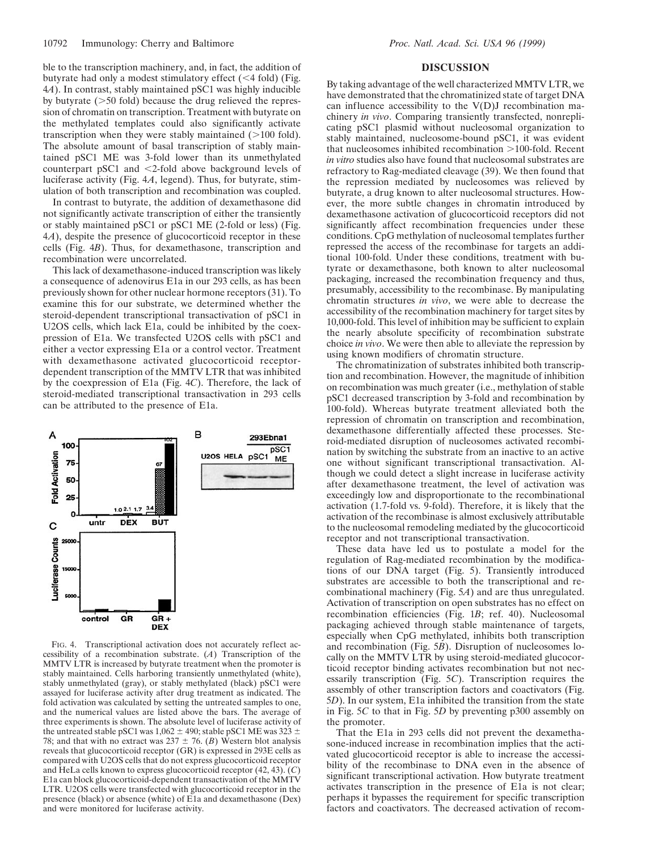ble to the transcription machinery, and, in fact, the addition of butyrate had only a modest stimulatory effect  $(<$  4 fold) (Fig. 4*A*). In contrast, stably maintained pSC1 was highly inducible by butyrate  $($ >50 fold) because the drug relieved the repression of chromatin on transcription. Treatment with butyrate on the methylated templates could also significantly activate transcription when they were stably maintained  $(>100$  fold). The absolute amount of basal transcription of stably maintained pSC1 ME was 3-fold lower than its unmethylated counterpart pSC1 and  $\leq$ 2-fold above background levels of luciferase activity (Fig. 4*A*, legend). Thus, for butyrate, stimulation of both transcription and recombination was coupled.

In contrast to butyrate, the addition of dexamethasone did not significantly activate transcription of either the transiently or stably maintained pSC1 or pSC1 ME (2-fold or less) (Fig. 4*A*), despite the presence of glucocorticoid receptor in these cells (Fig. 4*B*). Thus, for dexamethasone, transcription and recombination were uncorrelated.

This lack of dexamethasone-induced transcription was likely a consequence of adenovirus E1a in our 293 cells, as has been previously shown for other nuclear hormone receptors (31). To examine this for our substrate, we determined whether the steroid-dependent transcriptional transactivation of pSC1 in U2OS cells, which lack E1a, could be inhibited by the coexpression of E1a. We transfected U2OS cells with pSC1 and either a vector expressing E1a or a control vector. Treatment with dexamethasone activated glucocorticoid receptordependent transcription of the MMTV LTR that was inhibited by the coexpression of E1a (Fig. 4*C*). Therefore, the lack of steroid-mediated transcriptional transactivation in 293 cells can be attributed to the presence of E1a.



FIG. 4. Transcriptional activation does not accurately reflect accessibility of a recombination substrate. (*A*) Transcription of the MMTV LTR is increased by butyrate treatment when the promoter is stably maintained. Cells harboring transiently unmethylated (white), stably unmethylated (gray), or stably methylated (black) pSC1 were assayed for luciferase activity after drug treatment as indicated. The fold activation was calculated by setting the untreated samples to one, and the numerical values are listed above the bars. The average of three experiments is shown. The absolute level of luciferase activity of the untreated stable pSC1 was  $1,062 \pm 490$ ; stable pSC1 ME was  $323 \pm$ 78: and that with no extract was  $237 \pm 76$ . (*B*) Western blot analysis reveals that glucocorticoid receptor (GR) is expressed in 293E cells as compared with U2OS cells that do not express glucocorticoid receptor and HeLa cells known to express glucocorticoid receptor (42, 43). (*C*) E1a can block glucocorticoid-dependent transactivation of the MMTV LTR. U2OS cells were transfected with glucocorticoid receptor in the presence (black) or absence (white) of E1a and dexamethasone (Dex) and were monitored for luciferase activity.

## **DISCUSSION**

By taking advantage of the well characterized MMTV LTR, we have demonstrated that the chromatinized state of target DNA can influence accessibility to the  $V(D)J$  recombination machinery *in vivo*. Comparing transiently transfected, nonreplicating pSC1 plasmid without nucleosomal organization to stably maintained, nucleosome-bound pSC1, it was evident that nucleosomes inhibited recombination  $>100$ -fold. Recent *in vitro* studies also have found that nucleosomal substrates are refractory to Rag-mediated cleavage (39). We then found that the repression mediated by nucleosomes was relieved by butyrate, a drug known to alter nucleosomal structures. However, the more subtle changes in chromatin introduced by dexamethasone activation of glucocorticoid receptors did not significantly affect recombination frequencies under these conditions. CpG methylation of nucleosomal templates further repressed the access of the recombinase for targets an additional 100-fold. Under these conditions, treatment with butyrate or dexamethasone, both known to alter nucleosomal packaging, increased the recombination frequency and thus, presumably, accessibility to the recombinase. By manipulating chromatin structures *in vivo*, we were able to decrease the accessibility of the recombination machinery for target sites by 10,000-fold. This level of inhibition may be sufficient to explain the nearly absolute specificity of recombination substrate choice *in vivo*. We were then able to alleviate the repression by using known modifiers of chromatin structure.

The chromatinization of substrates inhibited both transcription and recombination. However, the magnitude of inhibition on recombination was much greater (i.e., methylation of stable pSC1 decreased transcription by 3-fold and recombination by 100-fold). Whereas butyrate treatment alleviated both the repression of chromatin on transcription and recombination, dexamethasone differentially affected these processes. Steroid-mediated disruption of nucleosomes activated recombination by switching the substrate from an inactive to an active one without significant transcriptional transactivation. Although we could detect a slight increase in luciferase activity after dexamethasone treatment, the level of activation was exceedingly low and disproportionate to the recombinational activation (1.7-fold vs. 9-fold). Therefore, it is likely that the activation of the recombinase is almost exclusively attributable to the nucleosomal remodeling mediated by the glucocorticoid receptor and not transcriptional transactivation.

These data have led us to postulate a model for the regulation of Rag-mediated recombination by the modifications of our DNA target (Fig. 5). Transiently introduced substrates are accessible to both the transcriptional and recombinational machinery (Fig. 5*A*) and are thus unregulated. Activation of transcription on open substrates has no effect on recombination efficiencies (Fig. 1*B*; ref. 40). Nucleosomal packaging achieved through stable maintenance of targets, especially when CpG methylated, inhibits both transcription and recombination (Fig. 5*B*). Disruption of nucleosomes locally on the MMTV LTR by using steroid-mediated glucocorticoid receptor binding activates recombination but not necessarily transcription (Fig. 5*C*). Transcription requires the assembly of other transcription factors and coactivators (Fig. 5*D*). In our system, E1a inhibited the transition from the state in Fig. 5*C* to that in Fig. 5*D* by preventing p300 assembly on the promoter.

That the E1a in 293 cells did not prevent the dexamethasone-induced increase in recombination implies that the activated glucocorticoid receptor is able to increase the accessibility of the recombinase to DNA even in the absence of significant transcriptional activation. How butyrate treatment activates transcription in the presence of E1a is not clear; perhaps it bypasses the requirement for specific transcription factors and coactivators. The decreased activation of recom-